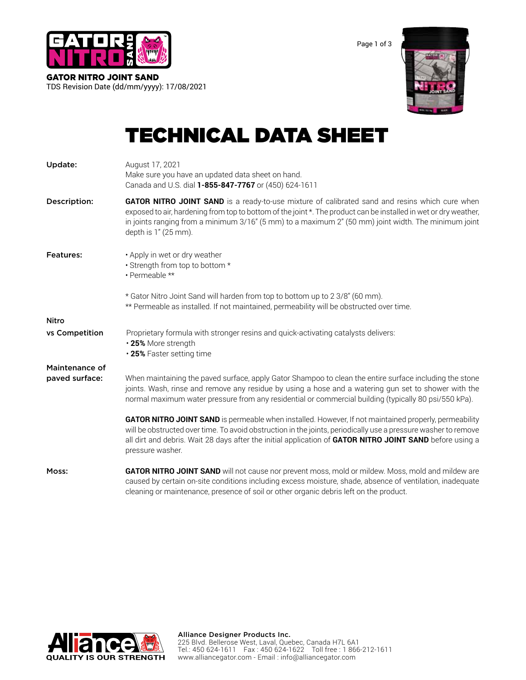

Page 1 of 3



# GATOR NITRO JOINT SAND TDS Revision Date (dd/mm/yyyy): 17/08/2021

# TECHNICAL DATA SHEET

| Update:          | August 17, 2021<br>Make sure you have an updated data sheet on hand.<br>Canada and U.S. dial 1-855-847-7767 or (450) 624-1611                                                                                                                                                                                                                             |
|------------------|-----------------------------------------------------------------------------------------------------------------------------------------------------------------------------------------------------------------------------------------------------------------------------------------------------------------------------------------------------------|
| Description:     | <b>GATOR NITRO JOINT SAND</b> is a ready-to-use mixture of calibrated sand and resins which cure when<br>exposed to air, hardening from top to bottom of the joint *. The product can be installed in wet or dry weather,<br>in joints ranging from a minimum 3/16" (5 mm) to a maximum 2" (50 mm) joint width. The minimum joint<br>depth is 1" (25 mm). |
| <b>Features:</b> | • Apply in wet or dry weather<br>• Strength from top to bottom *<br>• Permeable **                                                                                                                                                                                                                                                                        |
|                  | * Gator Nitro Joint Sand will harden from top to bottom up to 2 3/8" (60 mm).<br>** Permeable as installed. If not maintained, permeability will be obstructed over time.                                                                                                                                                                                 |
| Nitro            |                                                                                                                                                                                                                                                                                                                                                           |
| vs Competition   | Proprietary formula with stronger resins and quick-activating catalysts delivers:<br>•25% More strength<br>.25% Faster setting time                                                                                                                                                                                                                       |
| Maintenance of   |                                                                                                                                                                                                                                                                                                                                                           |
| paved surface:   | When maintaining the paved surface, apply Gator Shampoo to clean the entire surface including the stone<br>joints. Wash, rinse and remove any residue by using a hose and a watering gun set to shower with the<br>normal maximum water pressure from any residential or commercial building (typically 80 psi/550 kPa).                                  |
|                  | GATOR NITRO JOINT SAND is permeable when installed. However, If not maintained properly, permeability<br>will be obstructed over time. To avoid obstruction in the joints, periodically use a pressure washer to remove<br>all dirt and debris. Wait 28 days after the initial application of GATOR NITRO JOINT SAND before using a<br>pressure washer.   |
| Moss:            | GATOR NITRO JOINT SAND will not cause nor prevent moss, mold or mildew. Moss, mold and mildew are<br>caused by certain on-site conditions including excess moisture, shade, absence of ventilation, inadequate<br>cleaning or maintenance, presence of soil or other organic debris left on the product.                                                  |

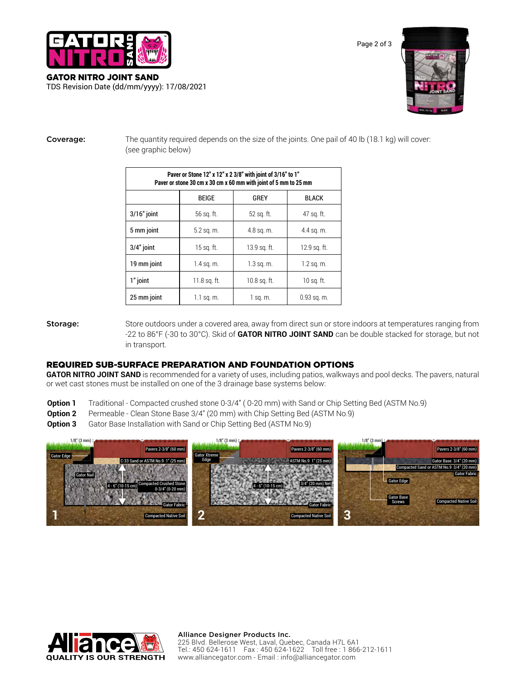

| GATOR NITRO JOINT SAND                     |  |
|--------------------------------------------|--|
| TDS Revision Date (dd/mm/yyyy): 17/08/2021 |  |



**Coverage:** The quantity required depends on the size of the joints. One pail of 40 lb (18.1 kg) will cover: (see graphic below)

| Paver or Stone 12" x 12" x 2 3/8" with joint of 3/16" to 1"<br>Paver or stone 30 cm x 30 cm x 60 mm with joint of 5 mm to 25 mm |              |              |               |  |  |
|---------------------------------------------------------------------------------------------------------------------------------|--------------|--------------|---------------|--|--|
|                                                                                                                                 | <b>BEIGE</b> | GREY         | <b>BLACK</b>  |  |  |
| $3/16"$ joint                                                                                                                   | 56 sq. ft.   | 52 sq. ft.   | 47 sq. ft.    |  |  |
| 5 mm joint                                                                                                                      | $5.2$ sq. m. | 4.8 sq. m.   | 4.4 sq. m.    |  |  |
| $3/4"$ joint                                                                                                                    | 15 sq. ft.   | 13.9 sq. ft. | 12.9 sq. ft.  |  |  |
| 19 mm joint                                                                                                                     | $1.4$ sq. m. | $1.3$ sq. m. | $1.2$ sq. m.  |  |  |
| 1" joint                                                                                                                        | 11.8 sq. ft. | 10.8 sq. ft. | 10 sq. ft.    |  |  |
| 25 mm joint                                                                                                                     | 1.1 sq. m.   | 1 sq. m.     | $0.93$ sq. m. |  |  |

Storage: Store outdoors under a covered area, away from direct sun or store indoors at temperatures ranging from -22 to 86°F (-30 to 30°C). Skid of **GATOR NITRO JOINT SAND** can be double stacked for storage, but not in transport.

### REQUIRED SUB-SURFACE PREPARATION AND FOUNDATION OPTIONS

GATOR NITRO JOINT SAND is recommended for a variety of uses, including patios, walkways and pool decks. The pavers, natural or wet cast stones must be installed on one of the 3 drainage base systems below:

- **Option 1** Traditional Compacted crushed stone 0-3/4'' ( 0-20 mm) with Sand or Chip Setting Bed (ASTM No.9)
- **Option 2** Permeable Clean Stone Base 3/4" (20 mm) with Chip Setting Bed (ASTM No.9)
- **Option 3** Gator Base Installation with Sand or Chip Setting Bed (ASTM No.9)



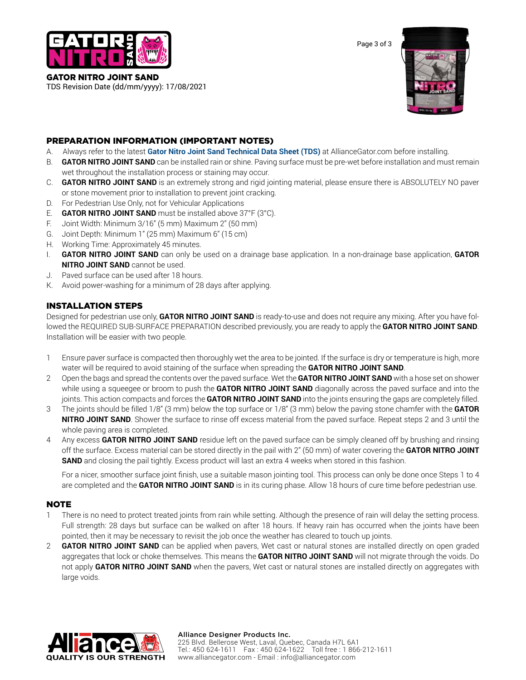

GATOR NITRO JOINT SAND TDS Revision Date (dd/mm/yyyy): 17/08/2021 Page 3 of 3



# PREPARATION INFORMATION (IMPORTANT NOTES)

- A. Always refer to the latest **Gator Nitro Joint Sand Technical Data Sheet (TDS)** at AllianceGator.com before installing.
- B. **GATOR NITRO JOINT SAND** can be installed rain or shine. Paving surface must be pre-wet before installation and must remain wet throughout the installation process or staining may occur.
- C. **GATOR NITRO JOINT SAND** is an extremely strong and rigid jointing material, please ensure there is ABSOLUTELY NO paver or stone movement prior to installation to prevent joint cracking.
- D. For Pedestrian Use Only, not for Vehicular Applications
- E. **GATOR NITRO JOINT SAND** must be installed above 37°F (3°C).
- F. Joint Width: Minimum 3/16'' (5 mm) Maximum 2'' (50 mm)
- G. Joint Depth: Minimum 1'' (25 mm) Maximum 6'' (15 cm)
- H. Working Time: Approximately 45 minutes.
- I. **GATOR NITRO JOINT SAND** can only be used on a drainage base application. In a non-drainage base application, **GATOR NITRO JOINT SAND** cannot be used.
- J. Paved surface can be used after 18 hours.
- K. Avoid power-washing for a minimum of 28 days after applying.

# INSTALLATION STEPS

Designed for pedestrian use only, **GATOR NITRO JOINT SAND** is ready-to-use and does not require any mixing. After you have followed the REQUIRED SUB-SURFACE PREPARATION described previously, you are ready to apply the **GATOR NITRO JOINT SAND**. Installation will be easier with two people.

- 1 Ensure paver surface is compacted then thoroughly wet the area to be jointed. If the surface is dry or temperature is high, more water will be required to avoid staining of the surface when spreading the **GATOR NITRO JOINT SAND**.
- 2 Open the bags and spread the contents over the paved surface. Wet the **GATOR NITRO JOINT SAND** with a hose set on shower while using a squeegee or broom to push the **GATOR NITRO JOINT SAND** diagonally across the paved surface and into the joints. This action compacts and forces the **GATOR NITRO JOINT SAND** into the joints ensuring the gaps are completely filled.
- 3 The joints should be filled 1/8'' (3 mm) below the top surface or 1/8'' (3 mm) below the paving stone chamfer with the **GATOR NITRO JOINT SAND**. Shower the surface to rinse off excess material from the paved surface. Repeat steps 2 and 3 until the whole paving area is completed.
- 4 Any excess **GATOR NITRO JOINT SAND** residue left on the paved surface can be simply cleaned off by brushing and rinsing off the surface. Excess material can be stored directly in the pail with 2" (50 mm) of water covering the **GATOR NITRO JOINT SAND** and closing the pail tightly. Excess product will last an extra 4 weeks when stored in this fashion.

For a nicer, smoother surface joint finish, use a suitable mason jointing tool. This process can only be done once Steps 1 to 4 are completed and the **GATOR NITRO JOINT SAND** is in its curing phase. Allow 18 hours of cure time before pedestrian use.

## **NOTE**

- 1 There is no need to protect treated joints from rain while setting. Although the presence of rain will delay the setting process. Full strength: 28 days but surface can be walked on after 18 hours. If heavy rain has occurred when the joints have been pointed, then it may be necessary to revisit the job once the weather has cleared to touch up joints.
- 2 **GATOR NITRO JOINT SAND** can be applied when pavers, Wet cast or natural stones are installed directly on open graded aggregates that lock or choke themselves. This means the **GATOR NITRO JOINT SAND** will not migrate through the voids. Do not apply **GATOR NITRO JOINT SAND** when the pavers, Wet cast or natural stones are installed directly on aggregates with large voids.